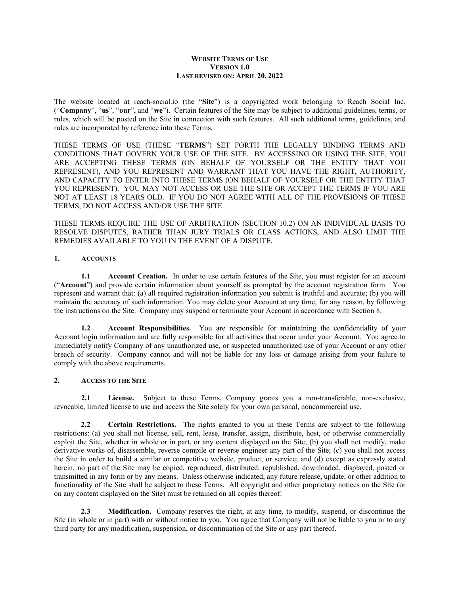#### **WEBSITE TERMS OF USE VERSION 1.0 LAST REVISED ON: APRIL 20, 2022**

The website located at reach-social.io (the "**Site**") is a copyrighted work belonging to Reach Social Inc. ("**Company**", "**us**", "**our**", and "**we**"). Certain features of the Site may be subject to additional guidelines, terms, or rules, which will be posted on the Site in connection with such features. All such additional terms, guidelines, and rules are incorporated by reference into these Terms.

THESE TERMS OF USE (THESE "**TERMS**") SET FORTH THE LEGALLY BINDING TERMS AND CONDITIONS THAT GOVERN YOUR USE OF THE SITE. BY ACCESSING OR USING THE SITE, YOU ARE ACCEPTING THESE TERMS (ON BEHALF OF YOURSELF OR THE ENTITY THAT YOU REPRESENT), AND YOU REPRESENT AND WARRANT THAT YOU HAVE THE RIGHT, AUTHORITY, AND CAPACITY TO ENTER INTO THESE TERMS (ON BEHALF OF YOURSELF OR THE ENTITY THAT YOU REPRESENT). YOU MAY NOT ACCESS OR USE THE SITE OR ACCEPT THE TERMS IF YOU ARE NOT AT LEAST 18 YEARS OLD. IF YOU DO NOT AGREE WITH ALL OF THE PROVISIONS OF THESE TERMS, DO NOT ACCESS AND/OR USE THE SITE.

THESE TERMS REQUIRE THE USE OF ARBITRATION (SECTION 10.2) ON AN INDIVIDUAL BASIS TO RESOLVE DISPUTES, RATHER THAN JURY TRIALS OR CLASS ACTIONS, AND ALSO LIMIT THE REMEDIES AVAILABLE TO YOU IN THE EVENT OF A DISPUTE.

### **1. ACCOUNTS**

**1.1 Account Creation.** In order to use certain features of the Site, you must register for an account ("**Account**") and provide certain information about yourself as prompted by the account registration form. You represent and warrant that: (a) all required registration information you submit is truthful and accurate; (b) you will maintain the accuracy of such information. You may delete your Account at any time, for any reason, by following the instructions on the Site. Company may suspend or terminate your Account in accordance with Section 8.

**1.2 Account Responsibilities.** You are responsible for maintaining the confidentiality of your Account login information and are fully responsible for all activities that occur under your Account. You agree to immediately notify Company of any unauthorized use, or suspected unauthorized use of your Account or any other breach of security. Company cannot and will not be liable for any loss or damage arising from your failure to comply with the above requirements.

#### **2. ACCESS TO THE SITE**

<span id="page-0-0"></span>**2.1 License.** Subject to these Terms, Company grants you a non-transferable, non-exclusive, revocable, limited license to use and access the Site solely for your own personal, noncommercial use.

<span id="page-0-1"></span>**2.2 Certain Restrictions.** The rights granted to you in these Terms are subject to the following restrictions: (a) you shall not license, sell, rent, lease, transfer, assign, distribute, host, or otherwise commercially exploit the Site, whether in whole or in part, or any content displayed on the Site; (b) you shall not modify, make derivative works of, disassemble, reverse compile or reverse engineer any part of the Site; (c) you shall not access the Site in order to build a similar or competitive website, product, or service; and (d) except as expressly stated herein, no part of the Site may be copied, reproduced, distributed, republished, downloaded, displayed, posted or transmitted in any form or by any means. Unless otherwise indicated, any future release, update, or other addition to functionality of the Site shall be subject to these Terms. All copyright and other proprietary notices on the Site (or on any content displayed on the Site) must be retained on all copies thereof.

**2.3 Modification.** Company reserves the right, at any time, to modify, suspend, or discontinue the Site (in whole or in part) with or without notice to you. You agree that Company will not be liable to you or to any third party for any modification, suspension, or discontinuation of the Site or any part thereof.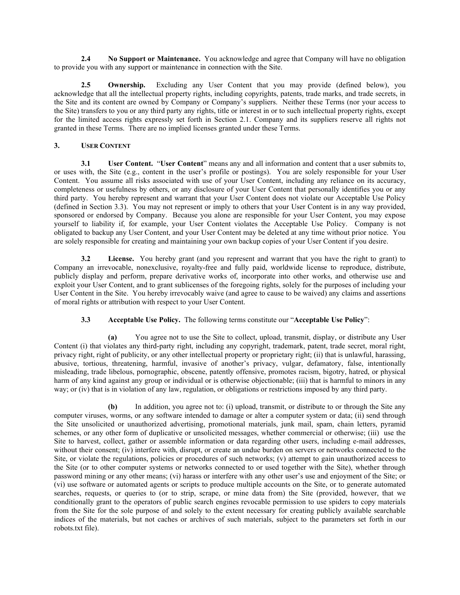**2.4 No Support or Maintenance.** You acknowledge and agree that Company will have no obligation to provide you with any support or maintenance in connection with the Site.

<span id="page-1-1"></span>**2.5 Ownership.** Excluding any User Content that you may provide (defined below), you acknowledge that all the intellectual property rights, including copyrights, patents, trade marks, and trade secrets, in the Site and its content are owned by Company or Company's suppliers. Neither these Terms (nor your access to the Site) transfers to you or any third party any rights, title or interest in or to such intellectual property rights, except for the limited access rights expressly set forth in Section [2.1.](#page-0-0) Company and its suppliers reserve all rights not granted in these Terms. There are no implied licenses granted under these Terms.

#### <span id="page-1-2"></span>**3. USER CONTENT**

**3.1 User Content.** "**User Content**" means any and all information and content that a user submits to, or uses with, the Site (e.g., content in the user's profile or postings). You are solely responsible for your User Content. You assume all risks associated with use of your User Content, including any reliance on its accuracy, completeness or usefulness by others, or any disclosure of your User Content that personally identifies you or any third party. You hereby represent and warrant that your User Content does not violate our Acceptable Use Policy (defined in Section [3.3\)](#page-1-0). You may not represent or imply to others that your User Content is in any way provided, sponsored or endorsed by Company. Because you alone are responsible for your User Content, you may expose yourself to liability if, for example, your User Content violates the Acceptable Use Policy. Company is not obligated to backup any User Content, and your User Content may be deleted at any time without prior notice. You are solely responsible for creating and maintaining your own backup copies of your User Content if you desire.

**3.2 License.** You hereby grant (and you represent and warrant that you have the right to grant) to Company an irrevocable, nonexclusive, royalty-free and fully paid, worldwide license to reproduce, distribute, publicly display and perform, prepare derivative works of, incorporate into other works, and otherwise use and exploit your User Content, and to grant sublicenses of the foregoing rights, solely for the purposes of including your User Content in the Site. You hereby irrevocably waive (and agree to cause to be waived) any claims and assertions of moral rights or attribution with respect to your User Content.

#### **3.3 Acceptable Use Policy.** The following terms constitute our "**Acceptable Use Policy**":

<span id="page-1-0"></span>**(a)** You agree not to use the Site to collect, upload, transmit, display, or distribute any User Content (i) that violates any third-party right, including any copyright, trademark, patent, trade secret, moral right, privacy right, right of publicity, or any other intellectual property or proprietary right; (ii) that is unlawful, harassing, abusive, tortious, threatening, harmful, invasive of another's privacy, vulgar, defamatory, false, intentionally misleading, trade libelous, pornographic, obscene, patently offensive, promotes racism, bigotry, hatred, or physical harm of any kind against any group or individual or is otherwise objectionable; (iii) that is harmful to minors in any way; or (iv) that is in violation of any law, regulation, or obligations or restrictions imposed by any third party.

**(b)** In addition, you agree not to: (i) upload, transmit, or distribute to or through the Site any computer viruses, worms, or any software intended to damage or alter a computer system or data; (ii) send through the Site unsolicited or unauthorized advertising, promotional materials, junk mail, spam, chain letters, pyramid schemes, or any other form of duplicative or unsolicited messages, whether commercial or otherwise; (iii) use the Site to harvest, collect, gather or assemble information or data regarding other users, including e-mail addresses, without their consent; (iv) interfere with, disrupt, or create an undue burden on servers or networks connected to the Site, or violate the regulations, policies or procedures of such networks; (v) attempt to gain unauthorized access to the Site (or to other computer systems or networks connected to or used together with the Site), whether through password mining or any other means; (vi) harass or interfere with any other user's use and enjoyment of the Site; or (vi) use software or automated agents or scripts to produce multiple accounts on the Site, or to generate automated searches, requests, or queries to (or to strip, scrape, or mine data from) the Site (provided, however, that we conditionally grant to the operators of public search engines revocable permission to use spiders to copy materials from the Site for the sole purpose of and solely to the extent necessary for creating publicly available searchable indices of the materials, but not caches or archives of such materials, subject to the parameters set forth in our robots.txt file).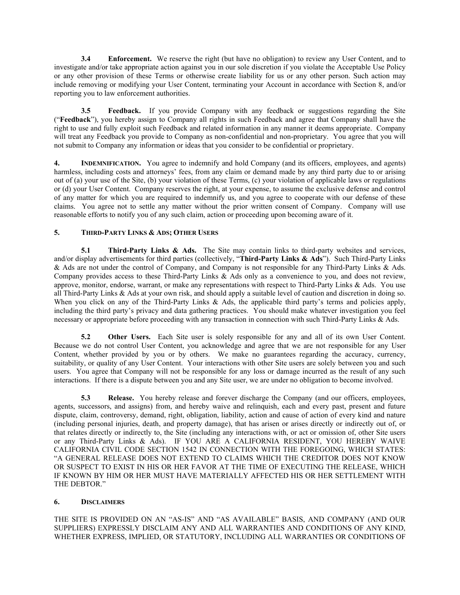**3.4 Enforcement.** We reserve the right (but have no obligation) to review any User Content, and to investigate and/or take appropriate action against you in our sole discretion if you violate the Acceptable Use Policy or any other provision of these Terms or otherwise create liability for us or any other person. Such action may include removing or modifying your User Content, terminating your Account in accordance with Section [8,](#page-3-0) and/or reporting you to law enforcement authorities.

**3.5 Feedback.** If you provide Company with any feedback or suggestions regarding the Site ("**Feedback**"), you hereby assign to Company all rights in such Feedback and agree that Company shall have the right to use and fully exploit such Feedback and related information in any manner it deems appropriate. Company will treat any Feedback you provide to Company as non-confidential and non-proprietary. You agree that you will not submit to Company any information or ideas that you consider to be confidential or proprietary.

**4. INDEMNIFICATION.** You agree to indemnify and hold Company (and its officers, employees, and agents) harmless, including costs and attorneys' fees, from any claim or demand made by any third party due to or arising out of (a) your use of the Site, (b) your violation of these Terms, (c) your violation of applicable laws or regulations or (d) your User Content. Company reserves the right, at your expense, to assume the exclusive defense and control of any matter for which you are required to indemnify us, and you agree to cooperate with our defense of these claims. You agree not to settle any matter without the prior written consent of Company. Company will use reasonable efforts to notify you of any such claim, action or proceeding upon becoming aware of it.

## **5. THIRD-PARTY LINKS & ADS; OTHER USERS**

**5.1 Third-Party Links & Ads.** The Site may contain links to third-party websites and services, and/or display advertisements for third parties (collectively, "**Third-Party Links & Ads**"). Such Third-Party Links & Ads are not under the control of Company, and Company is not responsible for any Third-Party Links & Ads. Company provides access to these Third-Party Links & Ads only as a convenience to you, and does not review, approve, monitor, endorse, warrant, or make any representations with respect to Third-Party Links & Ads. You use all Third-Party Links & Ads at your own risk, and should apply a suitable level of caution and discretion in doing so. When you click on any of the Third-Party Links & Ads, the applicable third party's terms and policies apply, including the third party's privacy and data gathering practices. You should make whatever investigation you feel necessary or appropriate before proceeding with any transaction in connection with such Third-Party Links & Ads.

**5.2 Other Users.** Each Site user is solely responsible for any and all of its own User Content. Because we do not control User Content, you acknowledge and agree that we are not responsible for any User Content, whether provided by you or by others. We make no guarantees regarding the accuracy, currency, suitability, or quality of any User Content. Your interactions with other Site users are solely between you and such users. You agree that Company will not be responsible for any loss or damage incurred as the result of any such interactions. If there is a dispute between you and any Site user, we are under no obligation to become involved.

**5.3 Release.** You hereby release and forever discharge the Company (and our officers, employees, agents, successors, and assigns) from, and hereby waive and relinquish, each and every past, present and future dispute, claim, controversy, demand, right, obligation, liability, action and cause of action of every kind and nature (including personal injuries, death, and property damage), that has arisen or arises directly or indirectly out of, or that relates directly or indirectly to, the Site (including any interactions with, or act or omission of, other Site users or any Third-Party Links & Ads). IF YOU ARE A CALIFORNIA RESIDENT, YOU HEREBY WAIVE CALIFORNIA CIVIL CODE SECTION 1542 IN CONNECTION WITH THE FOREGOING, WHICH STATES: "A GENERAL RELEASE DOES NOT EXTEND TO CLAIMS WHICH THE CREDITOR DOES NOT KNOW OR SUSPECT TO EXIST IN HIS OR HER FAVOR AT THE TIME OF EXECUTING THE RELEASE, WHICH IF KNOWN BY HIM OR HER MUST HAVE MATERIALLY AFFECTED HIS OR HER SETTLEMENT WITH THE DEBTOR."

#### **6. DISCLAIMERS**

THE SITE IS PROVIDED ON AN "AS-IS" AND "AS AVAILABLE" BASIS, AND COMPANY (AND OUR SUPPLIERS) EXPRESSLY DISCLAIM ANY AND ALL WARRANTIES AND CONDITIONS OF ANY KIND, WHETHER EXPRESS, IMPLIED, OR STATUTORY, INCLUDING ALL WARRANTIES OR CONDITIONS OF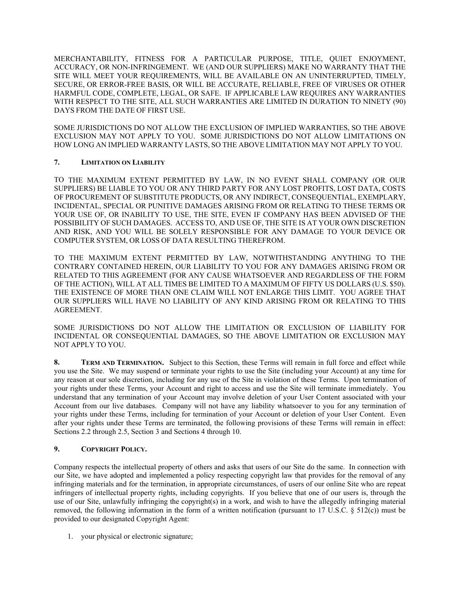MERCHANTABILITY, FITNESS FOR A PARTICULAR PURPOSE, TITLE, QUIET ENJOYMENT, ACCURACY, OR NON-INFRINGEMENT. WE (AND OUR SUPPLIERS) MAKE NO WARRANTY THAT THE SITE WILL MEET YOUR REQUIREMENTS, WILL BE AVAILABLE ON AN UNINTERRUPTED, TIMELY, SECURE, OR ERROR-FREE BASIS, OR WILL BE ACCURATE, RELIABLE, FREE OF VIRUSES OR OTHER HARMFUL CODE, COMPLETE, LEGAL, OR SAFE. IF APPLICABLE LAW REQUIRES ANY WARRANTIES WITH RESPECT TO THE SITE, ALL SUCH WARRANTIES ARE LIMITED IN DURATION TO NINETY (90) DAYS FROM THE DATE OF FIRST USE.

SOME JURISDICTIONS DO NOT ALLOW THE EXCLUSION OF IMPLIED WARRANTIES, SO THE ABOVE EXCLUSION MAY NOT APPLY TO YOU. SOME JURISDICTIONS DO NOT ALLOW LIMITATIONS ON HOW LONG AN IMPLIED WARRANTY LASTS, SO THE ABOVE LIMITATION MAY NOT APPLY TO YOU.

# **7. LIMITATION ON LIABILITY**

TO THE MAXIMUM EXTENT PERMITTED BY LAW, IN NO EVENT SHALL COMPANY (OR OUR SUPPLIERS) BE LIABLE TO YOU OR ANY THIRD PARTY FOR ANY LOST PROFITS, LOST DATA, COSTS OF PROCUREMENT OF SUBSTITUTE PRODUCTS, OR ANY INDIRECT, CONSEQUENTIAL, EXEMPLARY, INCIDENTAL, SPECIAL OR PUNITIVE DAMAGES ARISING FROM OR RELATING TO THESE TERMS OR YOUR USE OF, OR INABILITY TO USE, THE SITE, EVEN IF COMPANY HAS BEEN ADVISED OF THE POSSIBILITY OF SUCH DAMAGES. ACCESS TO, AND USE OF, THE SITE IS AT YOUR OWN DISCRETION AND RISK, AND YOU WILL BE SOLELY RESPONSIBLE FOR ANY DAMAGE TO YOUR DEVICE OR COMPUTER SYSTEM, OR LOSS OF DATA RESULTING THEREFROM.

TO THE MAXIMUM EXTENT PERMITTED BY LAW, NOTWITHSTANDING ANYTHING TO THE CONTRARY CONTAINED HEREIN, OUR LIABILITY TO YOU FOR ANY DAMAGES ARISING FROM OR RELATED TO THIS AGREEMENT (FOR ANY CAUSE WHATSOEVER AND REGARDLESS OF THE FORM OF THE ACTION), WILL AT ALL TIMES BE LIMITED TO A MAXIMUM OF FIFTY US DOLLARS (U.S. \$50). THE EXISTENCE OF MORE THAN ONE CLAIM WILL NOT ENLARGE THIS LIMIT. YOU AGREE THAT OUR SUPPLIERS WILL HAVE NO LIABILITY OF ANY KIND ARISING FROM OR RELATING TO THIS AGREEMENT.

SOME JURISDICTIONS DO NOT ALLOW THE LIMITATION OR EXCLUSION OF LIABILITY FOR INCIDENTAL OR CONSEQUENTIAL DAMAGES, SO THE ABOVE LIMITATION OR EXCLUSION MAY NOT APPLY TO YOU.

<span id="page-3-0"></span>**8. TERM AND TERMINATION.** Subject to this Section, these Terms will remain in full force and effect while you use the Site. We may suspend or terminate your rights to use the Site (including your Account) at any time for any reason at our sole discretion, including for any use of the Site in violation of these Terms. Upon termination of your rights under these Terms, your Account and right to access and use the Site will terminate immediately. You understand that any termination of your Account may involve deletion of your User Content associated with your Account from our live databases. Company will not have any liability whatsoever to you for any termination of your rights under these Terms, including for termination of your Account or deletion of your User Content. Even after your rights under these Terms are terminated, the following provisions of these Terms will remain in effect: Sections [2.2](#page-0-1) through [2.5,](#page-1-1) Section [3](#page-1-2) and Sections 4 through 10.

#### **9. COPYRIGHT POLICY.**

Company respects the intellectual property of others and asks that users of our Site do the same. In connection with our Site, we have adopted and implemented a policy respecting copyright law that provides for the removal of any infringing materials and for the termination, in appropriate circumstances, of users of our online Site who are repeat infringers of intellectual property rights, including copyrights. If you believe that one of our users is, through the use of our Site, unlawfully infringing the copyright(s) in a work, and wish to have the allegedly infringing material removed, the following information in the form of a written notification (pursuant to 17 U.S.C. § 512(c)) must be provided to our designated Copyright Agent:

1. your physical or electronic signature;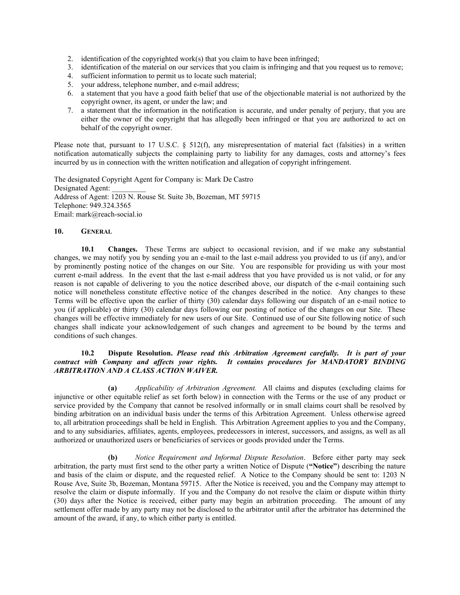- 2. identification of the copyrighted work(s) that you claim to have been infringed;
- 3. identification of the material on our services that you claim is infringing and that you request us to remove;
- 4. sufficient information to permit us to locate such material;
- 5. your address, telephone number, and e-mail address;
- 6. a statement that you have a good faith belief that use of the objectionable material is not authorized by the copyright owner, its agent, or under the law; and
- 7. a statement that the information in the notification is accurate, and under penalty of perjury, that you are either the owner of the copyright that has allegedly been infringed or that you are authorized to act on behalf of the copyright owner.

Please note that, pursuant to 17 U.S.C. § 512(f), any misrepresentation of material fact (falsities) in a written notification automatically subjects the complaining party to liability for any damages, costs and attorney's fees incurred by us in connection with the written notification and allegation of copyright infringement.

The designated Copyright Agent for Company is: Mark De Castro Designated Agent: Address of Agent: 1203 N. Rouse St. Suite 3b, Bozeman, MT 59715 Telephone: 949.324.3565 Email: mark@reach-social.io

### **10. GENERAL**

**10.1 Changes.** These Terms are subject to occasional revision, and if we make any substantial changes, we may notify you by sending you an e-mail to the last e-mail address you provided to us (if any), and/or by prominently posting notice of the changes on our Site. You are responsible for providing us with your most current e-mail address. In the event that the last e-mail address that you have provided us is not valid, or for any reason is not capable of delivering to you the notice described above, our dispatch of the e-mail containing such notice will nonetheless constitute effective notice of the changes described in the notice. Any changes to these Terms will be effective upon the earlier of thirty (30) calendar days following our dispatch of an e-mail notice to you (if applicable) or thirty (30) calendar days following our posting of notice of the changes on our Site. These changes will be effective immediately for new users of our Site. Continued use of our Site following notice of such changes shall indicate your acknowledgement of such changes and agreement to be bound by the terms and conditions of such changes.

#### **10.2 Dispute Resolution.** *Please read this Arbitration Agreement carefully. It is part of your contract with Company and affects your rights. It contains procedures for MANDATORY BINDING ARBITRATION AND A CLASS ACTION WAIVER.*

**(a)** *Applicability of Arbitration Agreement.* All claims and disputes (excluding claims for injunctive or other equitable relief as set forth below) in connection with the Terms or the use of any product or service provided by the Company that cannot be resolved informally or in small claims court shall be resolved by binding arbitration on an individual basis under the terms of this Arbitration Agreement. Unless otherwise agreed to, all arbitration proceedings shall be held in English. This Arbitration Agreement applies to you and the Company, and to any subsidiaries, affiliates, agents, employees, predecessors in interest, successors, and assigns, as well as all authorized or unauthorized users or beneficiaries of services or goods provided under the Terms.

**(b)** *Notice Requirement and Informal Dispute Resolution*. Before either party may seek arbitration, the party must first send to the other party a written Notice of Dispute (**"Notice"**) describing the nature and basis of the claim or dispute, and the requested relief. A Notice to the Company should be sent to: 1203 N Rouse Ave, Suite 3b, Bozeman, Montana 59715. After the Notice is received, you and the Company may attempt to resolve the claim or dispute informally. If you and the Company do not resolve the claim or dispute within thirty (30) days after the Notice is received, either party may begin an arbitration proceeding. The amount of any settlement offer made by any party may not be disclosed to the arbitrator until after the arbitrator has determined the amount of the award, if any, to which either party is entitled.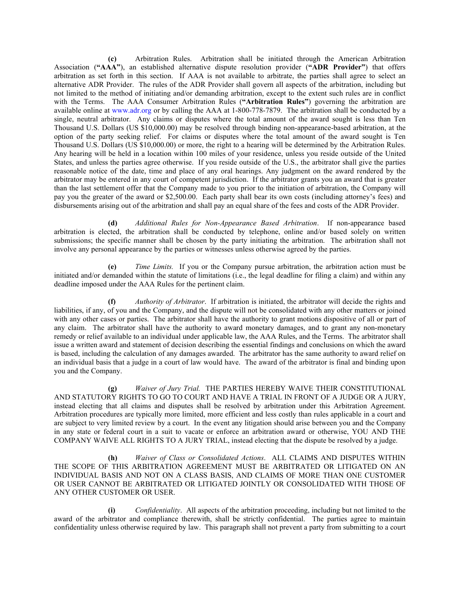**(c)** Arbitration Rules. Arbitration shall be initiated through the American Arbitration Association (**"AAA"**), an established alternative dispute resolution provider (**"ADR Provider"**) that offers arbitration as set forth in this section. If AAA is not available to arbitrate, the parties shall agree to select an alternative ADR Provider. The rules of the ADR Provider shall govern all aspects of the arbitration, including but not limited to the method of initiating and/or demanding arbitration, except to the extent such rules are in conflict with the Terms. The AAA Consumer Arbitration Rules (**"Arbitration Rules"**) governing the arbitration are available online at [www.adr.org](http://www.adr.org/) or by calling the AAA at 1-800-778-7879. The arbitration shall be conducted by a single, neutral arbitrator. Any claims or disputes where the total amount of the award sought is less than Ten Thousand U.S. Dollars (US \$10,000.00) may be resolved through binding non-appearance-based arbitration, at the option of the party seeking relief. For claims or disputes where the total amount of the award sought is Ten Thousand U.S. Dollars (US \$10,000.00) or more, the right to a hearing will be determined by the Arbitration Rules. Any hearing will be held in a location within 100 miles of your residence, unless you reside outside of the United States, and unless the parties agree otherwise. If you reside outside of the U.S., the arbitrator shall give the parties reasonable notice of the date, time and place of any oral hearings. Any judgment on the award rendered by the arbitrator may be entered in any court of competent jurisdiction. If the arbitrator grants you an award that is greater than the last settlement offer that the Company made to you prior to the initiation of arbitration, the Company will pay you the greater of the award or \$2,500.00. Each party shall bear its own costs (including attorney's fees) and disbursements arising out of the arbitration and shall pay an equal share of the fees and costs of the ADR Provider.

**(d)** *Additional Rules for Non-Appearance Based Arbitration*. If non-appearance based arbitration is elected, the arbitration shall be conducted by telephone, online and/or based solely on written submissions; the specific manner shall be chosen by the party initiating the arbitration. The arbitration shall not involve any personal appearance by the parties or witnesses unless otherwise agreed by the parties.

**(e)** *Time Limits.* If you or the Company pursue arbitration, the arbitration action must be initiated and/or demanded within the statute of limitations (i.e., the legal deadline for filing a claim) and within any deadline imposed under the AAA Rules for the pertinent claim.

**(f)** *Authority of Arbitrator*. If arbitration is initiated, the arbitrator will decide the rights and liabilities, if any, of you and the Company, and the dispute will not be consolidated with any other matters or joined with any other cases or parties. The arbitrator shall have the authority to grant motions dispositive of all or part of any claim. The arbitrator shall have the authority to award monetary damages, and to grant any non-monetary remedy or relief available to an individual under applicable law, the AAA Rules, and the Terms. The arbitrator shall issue a written award and statement of decision describing the essential findings and conclusions on which the award is based, including the calculation of any damages awarded. The arbitrator has the same authority to award relief on an individual basis that a judge in a court of law would have. The award of the arbitrator is final and binding upon you and the Company.

**(g)** *Waiver of Jury Trial.* THE PARTIES HEREBY WAIVE THEIR CONSTITUTIONAL AND STATUTORY RIGHTS TO GO TO COURT AND HAVE A TRIAL IN FRONT OF A JUDGE OR A JURY, instead electing that all claims and disputes shall be resolved by arbitration under this Arbitration Agreement. Arbitration procedures are typically more limited, more efficient and less costly than rules applicable in a court and are subject to very limited review by a court. In the event any litigation should arise between you and the Company in any state or federal court in a suit to vacate or enforce an arbitration award or otherwise, YOU AND THE COMPANY WAIVE ALL RIGHTS TO A JURY TRIAL, instead electing that the dispute be resolved by a judge.

**(h)** *Waiver of Class or Consolidated Actions*. ALL CLAIMS AND DISPUTES WITHIN THE SCOPE OF THIS ARBITRATION AGREEMENT MUST BE ARBITRATED OR LITIGATED ON AN INDIVIDUAL BASIS AND NOT ON A CLASS BASIS, AND CLAIMS OF MORE THAN ONE CUSTOMER OR USER CANNOT BE ARBITRATED OR LITIGATED JOINTLY OR CONSOLIDATED WITH THOSE OF ANY OTHER CUSTOMER OR USER.

**(i)** *Confidentiality*. All aspects of the arbitration proceeding, including but not limited to the award of the arbitrator and compliance therewith, shall be strictly confidential. The parties agree to maintain confidentiality unless otherwise required by law. This paragraph shall not prevent a party from submitting to a court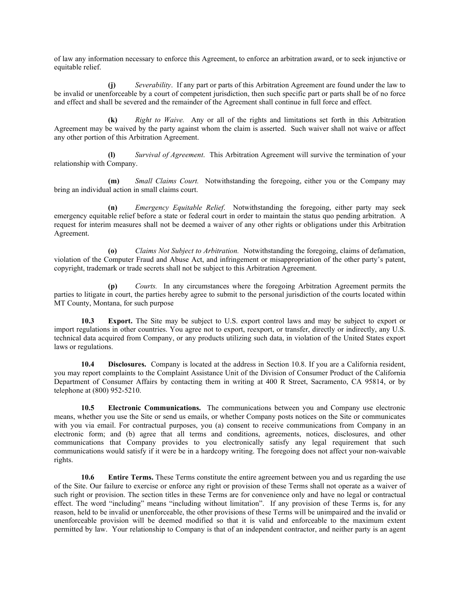of law any information necessary to enforce this Agreement, to enforce an arbitration award, or to seek injunctive or equitable relief.

**(j)** *Severability*. If any part or parts of this Arbitration Agreement are found under the law to be invalid or unenforceable by a court of competent jurisdiction, then such specific part or parts shall be of no force and effect and shall be severed and the remainder of the Agreement shall continue in full force and effect.

**(k)** *Right to Waive.* Any or all of the rights and limitations set forth in this Arbitration Agreement may be waived by the party against whom the claim is asserted. Such waiver shall not waive or affect any other portion of this Arbitration Agreement.

**(l)** *Survival of Agreement*. This Arbitration Agreement will survive the termination of your relationship with Company.

**(m)** *Small Claims Court.* Notwithstanding the foregoing, either you or the Company may bring an individual action in small claims court.

**(n)** *Emergency Equitable Relief*. Notwithstanding the foregoing, either party may seek emergency equitable relief before a state or federal court in order to maintain the status quo pending arbitration. A request for interim measures shall not be deemed a waiver of any other rights or obligations under this Arbitration Agreement.

**(o)** *Claims Not Subject to Arbitration.* Notwithstanding the foregoing, claims of defamation, violation of the Computer Fraud and Abuse Act, and infringement or misappropriation of the other party's patent, copyright, trademark or trade secrets shall not be subject to this Arbitration Agreement.

**(p)** *Courts.* In any circumstances where the foregoing Arbitration Agreement permits the parties to litigate in court, the parties hereby agree to submit to the personal jurisdiction of the courts located within MT County, Montana, for such purpose

**10.3 Export.** The Site may be subject to U.S. export control laws and may be subject to export or import regulations in other countries. You agree not to export, reexport, or transfer, directly or indirectly, any U.S. technical data acquired from Company, or any products utilizing such data, in violation of the United States export laws or regulations.

**10.4 Disclosures.** Company is located at the address in Section 10.8. If you are a California resident, you may report complaints to the Complaint Assistance Unit of the Division of Consumer Product of the California Department of Consumer Affairs by contacting them in writing at 400 R Street, Sacramento, CA 95814, or by telephone at (800) 952-5210.

**10.5 Electronic Communications.** The communications between you and Company use electronic means, whether you use the Site or send us emails, or whether Company posts notices on the Site or communicates with you via email. For contractual purposes, you (a) consent to receive communications from Company in an electronic form; and (b) agree that all terms and conditions, agreements, notices, disclosures, and other communications that Company provides to you electronically satisfy any legal requirement that such communications would satisfy if it were be in a hardcopy writing. The foregoing does not affect your non-waivable rights.

**10.6 Entire Terms.** These Terms constitute the entire agreement between you and us regarding the use of the Site. Our failure to exercise or enforce any right or provision of these Terms shall not operate as a waiver of such right or provision. The section titles in these Terms are for convenience only and have no legal or contractual effect. The word "including" means "including without limitation". If any provision of these Terms is, for any reason, held to be invalid or unenforceable, the other provisions of these Terms will be unimpaired and the invalid or unenforceable provision will be deemed modified so that it is valid and enforceable to the maximum extent permitted by law. Your relationship to Company is that of an independent contractor, and neither party is an agent